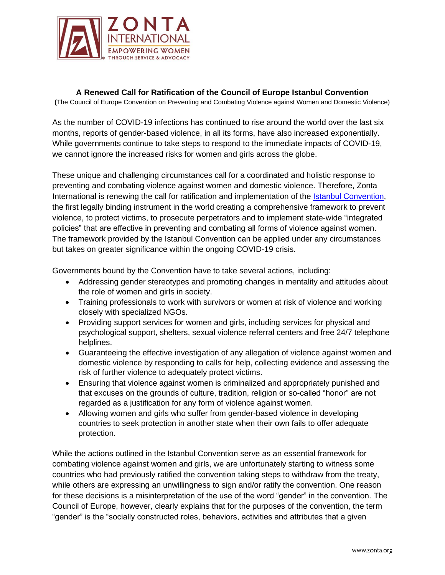

**A Renewed Call for Ratification of the Council of Europe Istanbul Convention**

**(**The Council of Europe Convention on Preventing and Combating Violence against Women and Domestic Violence)

As the number of COVID-19 infections has continued to rise around the world over the last six months, reports of gender-based violence, in all its forms, have also increased exponentially. While governments continue to take steps to respond to the immediate impacts of COVID-19, we cannot ignore the increased risks for women and girls across the globe.

These unique and challenging circumstances call for a coordinated and holistic response to preventing and combating violence against women and domestic violence. Therefore, Zonta International is renewing the call for ratification and implementation of the [Istanbul Convention,](https://www.coe.int/en/web/istanbul-convention/home?) the first legally binding instrument in the world creating a comprehensive framework to prevent violence, to protect victims, to prosecute perpetrators and to implement state‐wide "integrated policies" that are effective in preventing and combating all forms of violence against women. The framework provided by the Istanbul Convention can be applied under any circumstances but takes on greater significance within the ongoing COVID-19 crisis.

Governments bound by the Convention have to take several actions, including:

- Addressing gender stereotypes and promoting changes in mentality and attitudes about the role of women and girls in society.
- Training professionals to work with survivors or women at risk of violence and working closely with specialized NGOs.
- Providing support services for women and girls, including services for physical and psychological support, shelters, sexual violence referral centers and free 24/7 telephone helplines.
- Guaranteeing the effective investigation of any allegation of violence against women and domestic violence by responding to calls for help, collecting evidence and assessing the risk of further violence to adequately protect victims.
- Ensuring that violence against women is criminalized and appropriately punished and that excuses on the grounds of culture, tradition, religion or so-called "honor" are not regarded as a justification for any form of violence against women.
- Allowing women and girls who suffer from gender-based violence in developing countries to seek protection in another state when their own fails to offer adequate protection.

While the actions outlined in the Istanbul Convention serve as an essential framework for combating violence against women and girls, we are unfortunately starting to witness some countries who had previously ratified the convention taking steps to withdraw from the treaty, while others are expressing an unwillingness to sign and/or ratify the convention. One reason for these decisions is a misinterpretation of the use of the word "gender" in the convention. The Council of Europe, however, clearly explains that for the purposes of the convention, the term "gender" is the "socially constructed roles, behaviors, activities and attributes that a given